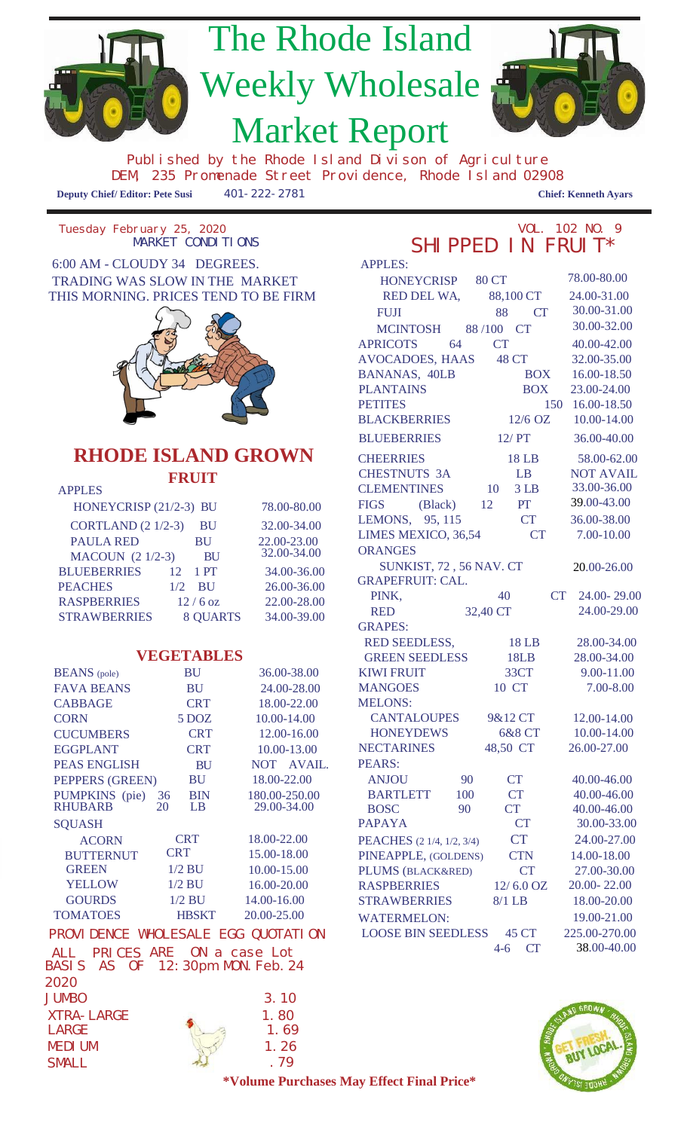

| <b>PAULA RED</b>        | <b>BU</b>               | 22.00-23.00<br>32.00-34.00 |
|-------------------------|-------------------------|----------------------------|
| <b>MACOUN</b> (2 1/2-3) | <b>BU</b>               |                            |
| <b>BLUEBERRIES</b>      | $12 \quad 1 \text{ PT}$ | 34.00-36.00                |
| <b>PEACHES</b>          | $1/2$ BU                | 26.00-36.00                |
| <b>RASPBERRIES</b>      | $12/6$ oz               | 22.00-28.00                |
| <b>STRAWBERRIES</b>     | <b>8 QUARTS</b>         | 34.00-39.00                |
|                         |                         |                            |

#### **VEGETABLES**

| <b>BEANS</b> (pole) |    | BU           | 36.00-38.00     | <b>KIWI FRUIT</b>         |     | 33CT                | $9.00 - 11.00$ |
|---------------------|----|--------------|-----------------|---------------------------|-----|---------------------|----------------|
| <b>FAVA BEANS</b>   |    | BU           | 24.00-28.00     | <b>MANGOES</b>            |     | 10 CT               | $7.00 - 8.00$  |
| <b>CABBAGE</b>      |    | <b>CRT</b>   | 18.00-22.00     | <b>MELONS:</b>            |     |                     |                |
| <b>CORN</b>         |    | $5$ DOZ      | $10.00 - 14.00$ | <b>CANTALOUPES</b>        |     | 9&12 CT             | 12.00-14.00    |
| <b>CUCUMBERS</b>    |    | <b>CRT</b>   | 12.00-16.00     | <b>HONEYDEWS</b>          |     | 6&8 CT              | 10.00-14.00    |
| <b>EGGPLANT</b>     |    | <b>CRT</b>   | 10.00-13.00     | <b>NECTARINES</b>         |     | 48,50 CT            | 26.00-27.00    |
| <b>PEAS ENGLISH</b> |    | <b>BU</b>    | NOT AVAIL.      | PEARS:                    |     |                     |                |
| PEPPERS (GREEN)     |    | <b>BU</b>    | 18.00-22.00     | <b>ANJOU</b>              | 90  | <b>CT</b>           | 40.00-46.00    |
| PUMPKINS (pie)      | 36 | <b>BIN</b>   | 180.00-250.00   | <b>BARTLETT</b>           | 100 | <b>CT</b>           | 40.00-46.00    |
| <b>RHUBARB</b>      | 20 | LB           | 29.00-34.00     | <b>BOSC</b>               | 90  | <b>CT</b>           | 40.00-46.00    |
| <b>SQUASH</b>       |    |              |                 | <b>PAPAYA</b>             |     | CT                  | 30.00-33.0     |
| <b>ACORN</b>        |    | <b>CRT</b>   | 18.00-22.00     | PEACHES (2 1/4, 1/2, 3/4) |     | <b>CT</b>           | 24.00-27.00    |
| <b>BUTTERNUT</b>    |    | <b>CRT</b>   | 15.00-18.00     | PINEAPPLE, (GOLDENS)      |     | <b>CTN</b>          | 14.00-18.00    |
| <b>GREEN</b>        |    | $1/2$ BU     | 10.00-15.00     | PLUMS (BLACK&RED)         |     | CT                  | 27.00-30.00    |
| <b>YELLOW</b>       |    | $1/2$ BU     | 16.00-20.00     | <b>RASPBERRIES</b>        |     | $12/6.0 \text{ oz}$ | 20.00-22.00    |
| <b>GOURDS</b>       |    | $1/2$ BU     | 14.00-16.00     | <b>STRAWBERRIES</b>       |     | $8/1$ LB            | 18.00-20.00    |
| <b>TOMATOES</b>     |    | <b>HBSKT</b> | 20.00-25.00     | <b>WATERMELON:</b>        |     |                     | 19.00-21.00    |
|                     |    |              |                 |                           |     |                     |                |

### PROVIDENCE WHOLESALE EGG QUOTATION LOOSE BIN SEEDLESS 45 CT 225.00-270.00 ALL PRICES ARE ON a case Lot

BASIS AS OF 12:30pm MON.Feb.24 2020 JUMBO 3.10  $XTRA-LARGE$  1.80  $LARGE$  1.69 MEDIUM 1.26  $SMLL$  . 79

#### GRAPEFRUIT: CAL. PINK, 40 RED 32,40 CT CT 24.00- 29.00 24.00-29.00 RED SEEDLESS, 18 LB 28.00-34.00 GREEN SEEDLESS 18LB 28.00-34.00 KIWI FRUIT 33CT 9.00-11.00 MANGOES 10 CT 7.00-8.00 CANTALOUPES 9&12 CT 12.00-14.00 HONEYDEWS 6&8 CT 10.00-14.00 NECTARINES 48,50 CT 26.00-27.00 PEACHES (2 1/4, 1/2, 3/4) CT 30.00-33.00 CT 24.00-27.00 ANJOU 90 CT 40.00-46.00 BIN 180.00-250.00 BARTLETT 100 CT 40.00-46.00 PINEAPPLE, (GOLDENS) CTN 14.00-18.00 PLUMS (BLACK&RED) CT 27.00-30.00 16.00-20.00 RASPBERRIES 12/ 6.0 OZ 20.00- 22.00 STRAWBERRIES 8/1 LB 18.00-20.00 20.00-25.00 WATERMELON: 19.00-21.00

20.00-26.00

SUNKIST, 72 , 56 NAV. CT

GRAPES:



4-6 CT 38.00-40.00

**\*Volume Purchases May Effect Final Price\***